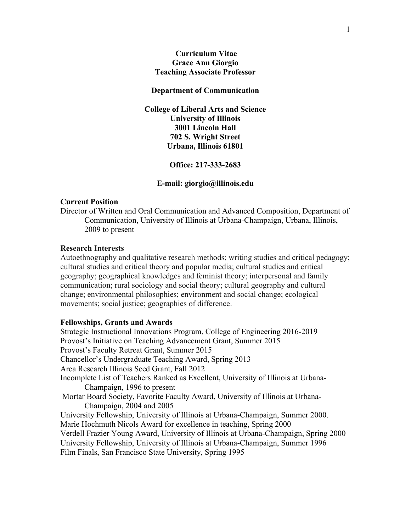# **Curriculum Vitae Grace Ann Giorgio Teaching Associate Professor**

#### **Department of Communication**

**College of Liberal Arts and Science University of Illinois 3001 Lincoln Hall 702 S. Wright Street Urbana, Illinois 61801**

**Office: 217-333-2683**

#### **E-mail: giorgio@illinois.edu**

#### **Current Position**

Director of Written and Oral Communication and Advanced Composition, Department of Communication, University of Illinois at Urbana-Champaign, Urbana, Illinois, 2009 to present

### **Research Interests**

Autoethnography and qualitative research methods; writing studies and critical pedagogy; cultural studies and critical theory and popular media; cultural studies and critical geography; geographical knowledges and feminist theory; interpersonal and family communication; rural sociology and social theory; cultural geography and cultural change; environmental philosophies; environment and social change; ecological movements; social justice; geographies of difference.

# **Fellowships, Grants and Awards**

Strategic Instructional Innovations Program, College of Engineering 2016-2019 Provost's Initiative on Teaching Advancement Grant, Summer 2015 Provost's Faculty Retreat Grant, Summer 2015 Chancellor's Undergraduate Teaching Award, Spring 2013 Area Research Illinois Seed Grant, Fall 2012 Incomplete List of Teachers Ranked as Excellent, University of Illinois at Urbana-Champaign, 1996 to present Mortar Board Society, Favorite Faculty Award, University of Illinois at Urbana-Champaign, 2004 and 2005 University Fellowship, University of Illinois at Urbana-Champaign, Summer 2000. Marie Hochmuth Nicols Award for excellence in teaching, Spring 2000 Verdell Frazier Young Award, University of Illinois at Urbana-Champaign, Spring 2000 University Fellowship, University of Illinois at Urbana-Champaign, Summer 1996 Film Finals, San Francisco State University, Spring 1995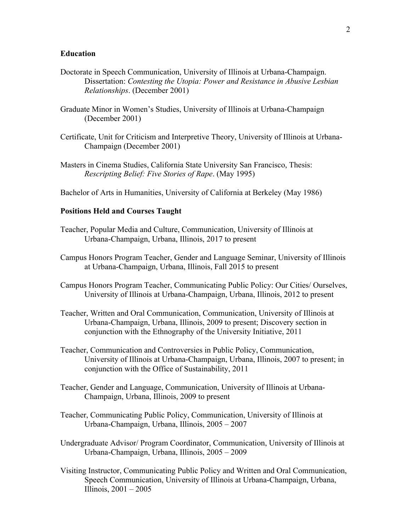### **Education**

- Doctorate in Speech Communication, University of Illinois at Urbana-Champaign. Dissertation: *Contesting the Utopia: Power and Resistance in Abusive Lesbian Relationships*. (December 2001)
- Graduate Minor in Women's Studies, University of Illinois at Urbana-Champaign (December 2001)
- Certificate, Unit for Criticism and Interpretive Theory, University of Illinois at Urbana-Champaign (December 2001)
- Masters in Cinema Studies, California State University San Francisco, Thesis: *Rescripting Belief: Five Stories of Rape*. (May 1995)

Bachelor of Arts in Humanities, University of California at Berkeley (May 1986)

## **Positions Held and Courses Taught**

- Teacher, Popular Media and Culture, Communication, University of Illinois at Urbana-Champaign, Urbana, Illinois, 2017 to present
- Campus Honors Program Teacher, Gender and Language Seminar, University of Illinois at Urbana-Champaign, Urbana, Illinois, Fall 2015 to present
- Campus Honors Program Teacher, Communicating Public Policy: Our Cities/ Ourselves, University of Illinois at Urbana-Champaign, Urbana, Illinois, 2012 to present
- Teacher, Written and Oral Communication, Communication, University of Illinois at Urbana-Champaign, Urbana, Illinois, 2009 to present; Discovery section in conjunction with the Ethnography of the University Initiative, 2011
- Teacher, Communication and Controversies in Public Policy, Communication, University of Illinois at Urbana-Champaign, Urbana, Illinois, 2007 to present; in conjunction with the Office of Sustainability, 2011
- Teacher, Gender and Language, Communication, University of Illinois at Urbana-Champaign, Urbana, Illinois, 2009 to present
- Teacher, Communicating Public Policy, Communication, University of Illinois at Urbana-Champaign, Urbana, Illinois, 2005 – 2007
- Undergraduate Advisor/ Program Coordinator, Communication, University of Illinois at Urbana-Champaign, Urbana, Illinois, 2005 – 2009
- Visiting Instructor, Communicating Public Policy and Written and Oral Communication, Speech Communication, University of Illinois at Urbana-Champaign, Urbana, Illinois, 2001 – 2005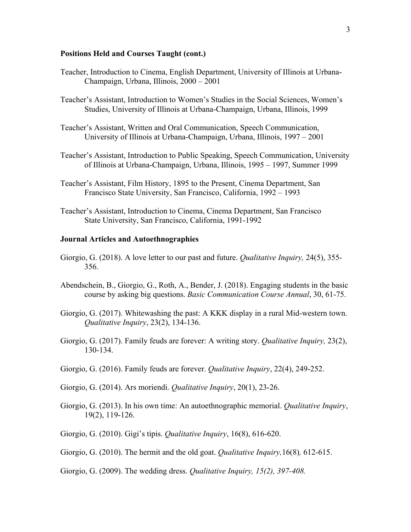## **Positions Held and Courses Taught (cont.)**

- Teacher, Introduction to Cinema, English Department, University of Illinois at Urbana-Champaign, Urbana, Illinois, 2000 – 2001
- Teacher's Assistant, Introduction to Women's Studies in the Social Sciences, Women's Studies, University of Illinois at Urbana-Champaign, Urbana, Illinois, 1999
- Teacher's Assistant, Written and Oral Communication, Speech Communication, University of Illinois at Urbana-Champaign, Urbana, Illinois, 1997 – 2001
- Teacher's Assistant, Introduction to Public Speaking, Speech Communication, University of Illinois at Urbana-Champaign, Urbana, Illinois, 1995 – 1997, Summer 1999
- Teacher's Assistant, Film History, 1895 to the Present, Cinema Department, San Francisco State University, San Francisco, California, 1992 – 1993
- Teacher's Assistant, Introduction to Cinema, Cinema Department, San Francisco State University, San Francisco, California, 1991-1992

#### **Journal Articles and Autoethnographies**

- Giorgio, G. (2018). A love letter to our past and future. *Qualitative Inquiry,* 24(5), 355- 356.
- Abendschein, B., Giorgio, G., Roth, A., Bender, J. (2018). Engaging students in the basic course by asking big questions. *Basic Communication Course Annual*, 30, 61-75.
- Giorgio, G. (2017). Whitewashing the past: A KKK display in a rural Mid-western town. *Qualitative Inquiry*, 23(2), 134-136.
- Giorgio, G. (2017). Family feuds are forever: A writing story. *Qualitative Inquiry,* 23(2), 130-134.
- Giorgio, G. (2016). Family feuds are forever. *Qualitative Inquiry*, 22(4), 249-252.
- Giorgio, G. (2014). Ars moriendi. *Qualitative Inquiry*, 20(1), 23-26.
- Giorgio, G. (2013). In his own time: An autoethnographic memorial. *Qualitative Inquiry*, 19(2), 119-126.
- Giorgio, G. (2010). Gigi's tipis. *Qualitative Inquiry*, 16(8), 616-620.
- Giorgio, G. (2010). The hermit and the old goat. *Qualitative Inquiry,*16(8)*,* 612-615.
- Giorgio, G. (2009). The wedding dress. *Qualitative Inquiry, 15(2), 397-408.*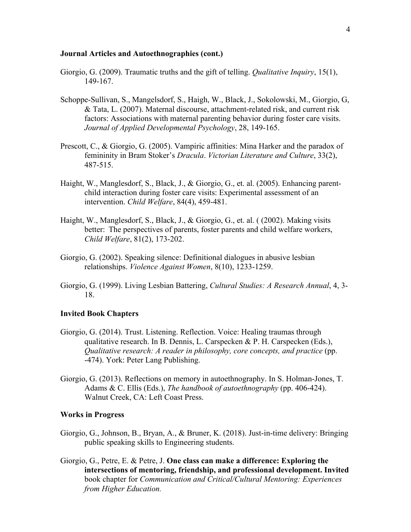## **Journal Articles and Autoethnographies (cont.)**

- Giorgio, G. (2009). Traumatic truths and the gift of telling. *Qualitative Inquiry*, 15(1), 149-167.
- Schoppe-Sullivan, S., Mangelsdorf, S., Haigh, W., Black, J., Sokolowski, M., Giorgio, G, & Tata, L. (2007). Maternal discourse, attachment-related risk, and current risk factors: Associations with maternal parenting behavior during foster care visits. *Journal of Applied Developmental Psychology*, 28, 149-165.
- Prescott, C., & Giorgio, G. (2005). Vampiric affinities: Mina Harker and the paradox of femininity in Bram Stoker's *Dracula*. *Victorian Literature and Culture*, 33(2), 487-515.
- Haight, W., Manglesdorf, S., Black, J., & Giorgio, G., et. al. (2005). Enhancing parentchild interaction during foster care visits: Experimental assessment of an intervention. *Child Welfare*, 84(4), 459-481.
- Haight, W., Manglesdorf, S., Black, J., & Giorgio, G., et. al. ( (2002). Making visits better: The perspectives of parents, foster parents and child welfare workers, *Child Welfare*, 81(2), 173-202.
- Giorgio, G. (2002). Speaking silence: Definitional dialogues in abusive lesbian relationships. *Violence Against Women*, 8(10), 1233-1259.
- Giorgio, G. (1999). Living Lesbian Battering, *Cultural Studies: A Research Annual*, 4, 3- 18.

#### **Invited Book Chapters**

- Giorgio, G. (2014). Trust. Listening. Reflection. Voice: Healing traumas through qualitative research. In B. Dennis, L. Carspecken & P. H. Carspecken (Eds.), *Qualitative research: A reader in philosophy, core concepts, and practice* (pp. -474). York: Peter Lang Publishing.
- Giorgio, G. (2013). Reflections on memory in autoethnography. In S. Holman-Jones, T. Adams & C. Ellis (Eds.), *The handbook of autoethnography* (pp. 406-424). Walnut Creek, CA: Left Coast Press.

## **Works in Progress**

- Giorgio, G., Johnson, B., Bryan, A., & Bruner, K. (2018). Just-in-time delivery: Bringing public speaking skills to Engineering students.
- Giorgio, G., Petre, E. & Petre, J. **One class can make a difference: Exploring the intersections of mentoring, friendship, and professional development. Invited** book chapter for *Communication and Critical/Cultural Mentoring: Experiences from Higher Education.*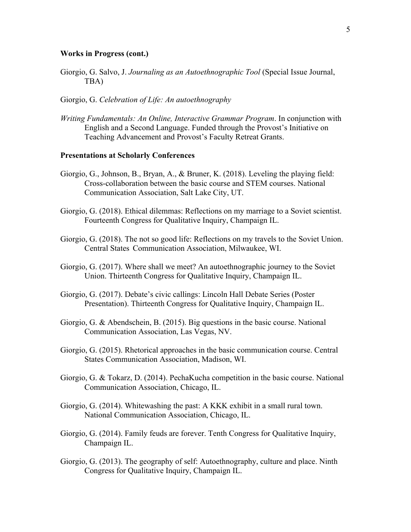### **Works in Progress (cont.)**

- Giorgio, G. Salvo, J. *Journaling as an Autoethnographic Tool* (Special Issue Journal, TBA)
- Giorgio, G. *Celebration of Life: An autoethnography*
- *Writing Fundamentals: An Online, Interactive Grammar Program*. In conjunction with English and a Second Language. Funded through the Provost's Initiative on Teaching Advancement and Provost's Faculty Retreat Grants.

#### **Presentations at Scholarly Conferences**

- Giorgio, G., Johnson, B., Bryan, A., & Bruner, K. (2018). Leveling the playing field: Cross-collaboration between the basic course and STEM courses. National Communication Association, Salt Lake City, UT.
- Giorgio, G. (2018). Ethical dilemmas: Reflections on my marriage to a Soviet scientist. Fourteenth Congress for Qualitative Inquiry, Champaign IL.
- Giorgio, G. (2018). The not so good life: Reflections on my travels to the Soviet Union. Central States Communication Association, Milwaukee, WI.
- Giorgio, G. (2017). Where shall we meet? An autoethnographic journey to the Soviet Union. Thirteenth Congress for Qualitative Inquiry, Champaign IL.
- Giorgio, G. (2017). Debate's civic callings: Lincoln Hall Debate Series (Poster Presentation). Thirteenth Congress for Qualitative Inquiry, Champaign IL.
- Giorgio, G. & Abendschein, B. (2015). Big questions in the basic course. National Communication Association, Las Vegas, NV.
- Giorgio, G. (2015). Rhetorical approaches in the basic communication course. Central States Communication Association, Madison, WI.
- Giorgio, G. & Tokarz, D. (2014). PechaKucha competition in the basic course. National Communication Association, Chicago, IL.
- Giorgio, G. (2014). Whitewashing the past: A KKK exhibit in a small rural town. National Communication Association, Chicago, IL.
- Giorgio, G. (2014). Family feuds are forever. Tenth Congress for Qualitative Inquiry, Champaign IL.
- Giorgio, G. (2013). The geography of self: Autoethnography, culture and place. Ninth Congress for Qualitative Inquiry, Champaign IL.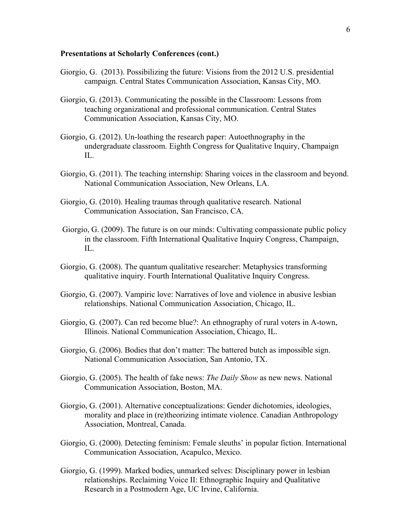# **Presentations at Scholarly Conferences (cont.)**

- Giorgio, G. (2013). Possibilizing the future: Visions from the 2012 U.S. presidential campaign. Central States Communication Association, Kansas City, MO.
- Giorgio, G. (2013). Communicating the possible in the Classroom: Lessons from teaching organizational and professional communication. Central States Communication Association, Kansas City, MO.
- Giorgio, G. (2012). Un-loathing the research paper: Autoethnography in the undergraduate classroom. Eighth Congress for Qualitative Inquiry, Champaign IL.
- Giorgio, G. (2011). The teaching internship: Sharing voices in the classroom and beyond. National Communication Association, New Orleans, LA.
- Giorgio, G. (2010). Healing traumas through qualitative research. National Communication Association, San Francisco, CA.
- Giorgio, G. (2009). The future is on our minds: Cultivating compassionate public policy in the classroom. Fifth International Qualitative Inquiry Congress, Champaign, IL.
- Giorgio, G. (2008). The quantum qualitative researcher: Metaphysics transforming qualitative inquiry. Fourth International Qualitative Inquiry Congress.
- Giorgio, G. (2007). Vampiric love: Narratives of love and violence in abusive lesbian relationships. National Communication Association, Chicago, IL.
- Giorgio, G. (2007). Can red become blue?: An ethnography of rural voters in A-town, Illinois. National Communication Association, Chicago, IL.
- Giorgio, G. (2006). Bodies that don't matter: The battered butch as impossible sign. National Communication Association, San Antonio, TX.
- Giorgio, G. (2005). The health of fake news: *The Daily Show* as new news. National Communication Association, Boston, MA.
- Giorgio, G. (2001). Alternative conceptualizations: Gender dichotomies, ideologies, morality and place in (re)theorizing intimate violence. Canadian Anthropology Association, Montreal, Canada.
- Giorgio, G. (2000). Detecting feminism: Female sleuths' in popular fiction. International Communication Association, Acapulco, Mexico.
- Giorgio, G. (1999). Marked bodies, unmarked selves: Disciplinary power in lesbian relationships. Reclaiming Voice II: Ethnographic Inquiry and Qualitative Research in a Postmodern Age, UC Irvine, California.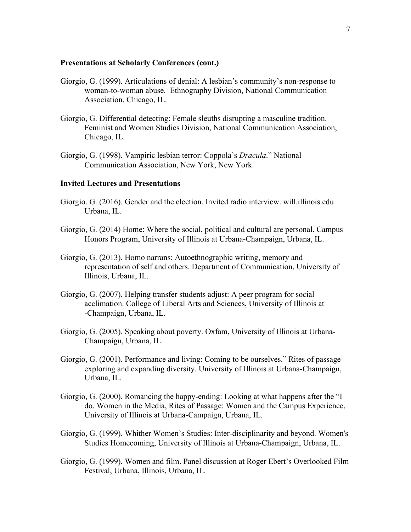#### **Presentations at Scholarly Conferences (cont.)**

- Giorgio, G. (1999). Articulations of denial: A lesbian's community's non-response to woman-to-woman abuse. Ethnography Division, National Communication Association, Chicago, IL.
- Giorgio, G. Differential detecting: Female sleuths disrupting a masculine tradition. Feminist and Women Studies Division, National Communication Association, Chicago, IL.
- Giorgio, G. (1998). Vampiric lesbian terror: Coppola's *Dracula*." National Communication Association, New York, New York.

#### **Invited Lectures and Presentations**

- Giorgio. G. (2016). Gender and the election. Invited radio interview. will.illinois.edu Urbana, IL.
- Giorgio, G. (2014) Home: Where the social, political and cultural are personal. Campus Honors Program, University of Illinois at Urbana-Champaign, Urbana, IL.
- Giorgio, G. (2013). Homo narrans: Autoethnographic writing, memory and representation of self and others. Department of Communication, University of Illinois, Urbana, IL.
- Giorgio, G. (2007). Helping transfer students adjust: A peer program for social acclimation. College of Liberal Arts and Sciences, University of Illinois at -Champaign, Urbana, IL.
- Giorgio, G. (2005). Speaking about poverty. Oxfam, University of Illinois at Urbana-Champaign, Urbana, IL.
- Giorgio, G. (2001). Performance and living: Coming to be ourselves." Rites of passage exploring and expanding diversity. University of Illinois at Urbana-Champaign, Urbana, IL.
- Giorgio, G. (2000). Romancing the happy-ending: Looking at what happens after the "I do. Women in the Media, Rites of Passage: Women and the Campus Experience, University of Illinois at Urbana-Campaign, Urbana, IL.
- Giorgio, G. (1999). Whither Women's Studies: Inter-disciplinarity and beyond. Women's Studies Homecoming, University of Illinois at Urbana-Champaign, Urbana, IL.
- Giorgio, G. (1999). Women and film. Panel discussion at Roger Ebert's Overlooked Film Festival, Urbana, Illinois, Urbana, IL.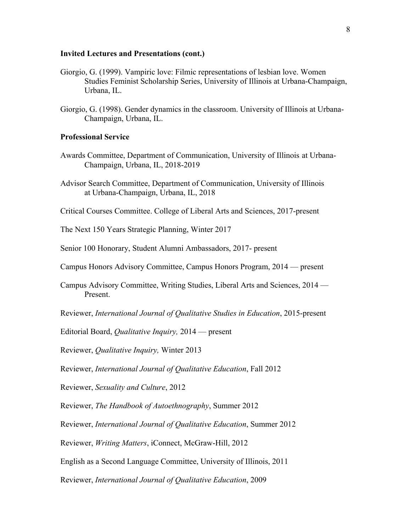#### **Invited Lectures and Presentations (cont.)**

- Giorgio, G. (1999). Vampiric love: Filmic representations of lesbian love. Women Studies Feminist Scholarship Series, University of Illinois at Urbana-Champaign, Urbana, IL.
- Giorgio, G. (1998). Gender dynamics in the classroom. University of Illinois at Urbana-Champaign, Urbana, IL.

### **Professional Service**

- Awards Committee, Department of Communication, University of Illinois at Urbana-Champaign, Urbana, IL, 2018-2019
- Advisor Search Committee, Department of Communication, University of Illinois at Urbana-Champaign, Urbana, IL, 2018

Critical Courses Committee. College of Liberal Arts and Sciences, 2017-present

The Next 150 Years Strategic Planning, Winter 2017

Senior 100 Honorary, Student Alumni Ambassadors, 2017- present

Campus Honors Advisory Committee, Campus Honors Program, 2014 — present

Campus Advisory Committee, Writing Studies, Liberal Arts and Sciences, 2014 — Present.

Reviewer, *International Journal of Qualitative Studies in Education*, 2015-present

Editorial Board, *Qualitative Inquiry,* 2014 — present

Reviewer, *Qualitative Inquiry,* Winter 2013

Reviewer, *International Journal of Qualitative Education*, Fall 2012

Reviewer, *Sexuality and Culture*, 2012

Reviewer, *The Handbook of Autoethnography*, Summer 2012

Reviewer, *International Journal of Qualitative Education*, Summer 2012

Reviewer, *Writing Matters*, iConnect, McGraw-Hill, 2012

English as a Second Language Committee, University of Illinois, 2011

Reviewer, *International Journal of Qualitative Education*, 2009